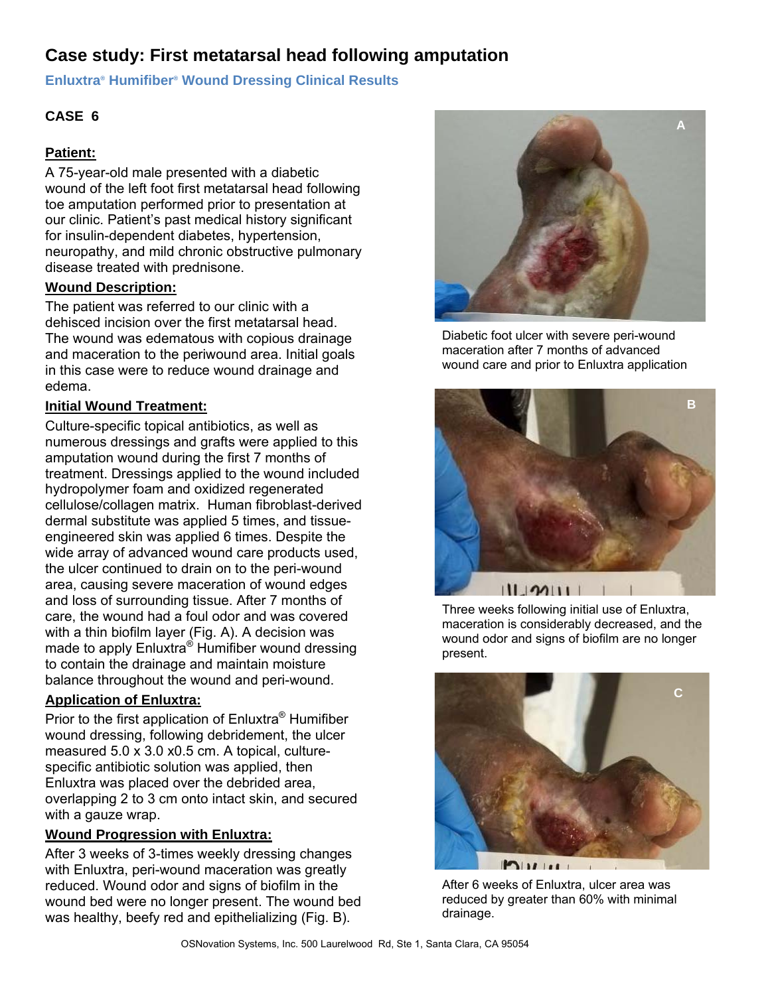# **Case study: First metatarsal head following amputation**

**Enluxtra® Humifiber® Wound Dressing Clinical Results** 

# **CASE 6**

## **Patient:**

A 75-year-old male presented with a diabetic wound of the left foot first metatarsal head following toe amputation performed prior to presentation at our clinic. Patient's past medical history significant for insulin-dependent diabetes, hypertension, neuropathy, and mild chronic obstructive pulmonary disease treated with prednisone.

### **Wound Description:**

The patient was referred to our clinic with a dehisced incision over the first metatarsal head. The wound was edematous with copious drainage and maceration to the periwound area. Initial goals in this case were to reduce wound drainage and edema.

### **Initial Wound Treatment:**

Culture-specific topical antibiotics, as well as numerous dressings and grafts were applied to this amputation wound during the first 7 months of treatment. Dressings applied to the wound included hydropolymer foam and oxidized regenerated cellulose/collagen matrix. Human fibroblast-derived dermal substitute was applied 5 times, and tissueengineered skin was applied 6 times. Despite the wide array of advanced wound care products used, the ulcer continued to drain on to the peri-wound area, causing severe maceration of wound edges and loss of surrounding tissue. After 7 months of care, the wound had a foul odor and was covered with a thin biofilm layer (Fig. A). A decision was made to apply Enluxtra® Humifiber wound dressing to contain the drainage and maintain moisture balance throughout the wound and peri-wound.

### **Application of Enluxtra:**

Prior to the first application of Enluxtra® Humifiber wound dressing, following debridement, the ulcer measured 5.0 x 3.0 x0.5 cm. A topical, culturespecific antibiotic solution was applied, then Enluxtra was placed over the debrided area, overlapping 2 to 3 cm onto intact skin, and secured with a gauze wrap.

### **Wound Progression with Enluxtra:**

After 3 weeks of 3-times weekly dressing changes with Enluxtra, peri-wound maceration was greatly reduced. Wound odor and signs of biofilm in the wound bed were no longer present. The wound bed was healthy, beefy red and epithelializing (Fig. B).



Diabetic foot ulcer with severe peri-wound maceration after 7 months of advanced wound care and prior to Enluxtra application



Three weeks following initial use of Enluxtra, maceration is considerably decreased, and the wound odor and signs of biofilm are no longer present.



After 6 weeks of Enluxtra, ulcer area was reduced by greater than 60% with minimal drainage.